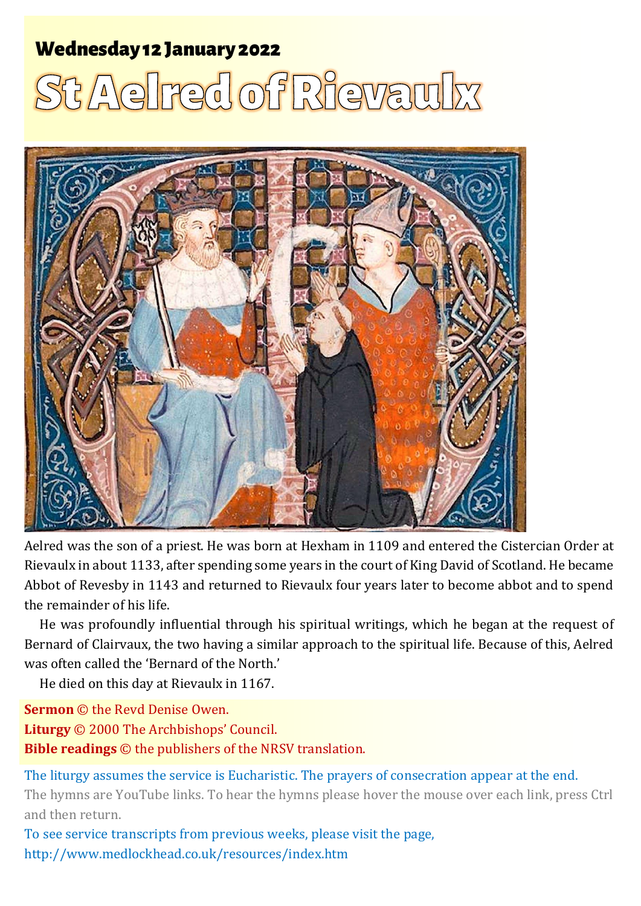### **Wednesday 12 January 2022**

# **St Aelred of Rievaul**x



Aelred was the son of a priest. He was born at Hexham in 1109 and entered the Cistercian Order at Rievaulx in about 1133, after spending some years in the court of King David of Scotland. He became Abbot of Revesby in 1143 and returned to Rievaulx four years later to become abbot and to spend the remainder of his life.

He was profoundly influential through his spiritual writings, which he began at the request of Bernard of Clairvaux, the two having a similar approach to the spiritual life. Because of this, Aelred was often called the 'Bernard of the North.'

He died on this day at Rievaulx in 1167.

**Sermon** © the Revd Denise Owen. **Liturgy** © 2000 The Archbishops' Council. **Bible readings** © the publishers of the NRSV translation.

The liturgy assumes the service is Eucharistic. The prayers of consecration appear at the end. The hymns are YouTube links. To hear the hymns please hover the mouse over each link, press Ctrl and then return.

To see service transcripts from previous weeks, please visit the page, <http://www.medlockhead.co.uk/resources/index.htm>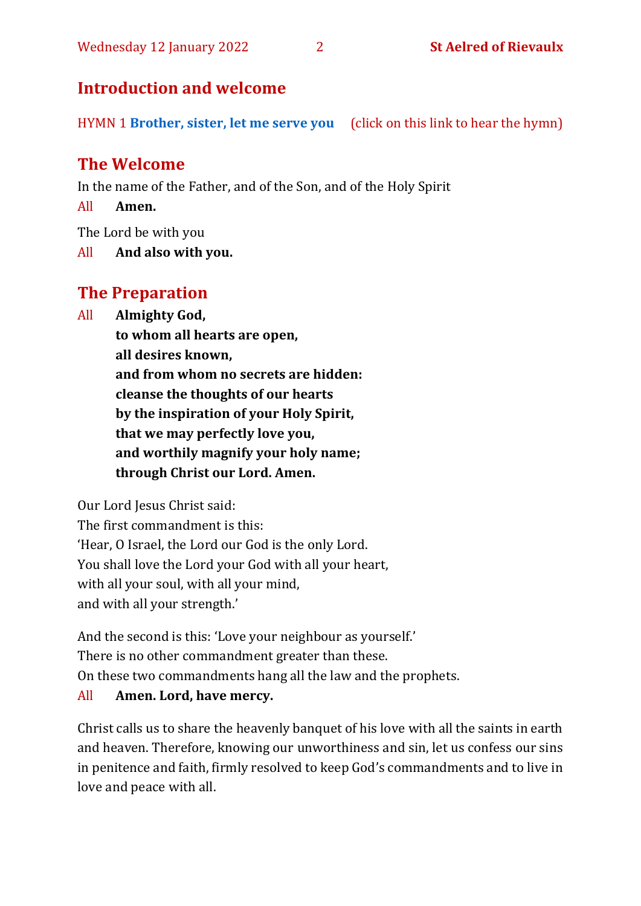#### **Introduction and welcome**

HYMN 1 **[Brother, sister, let me serve you](https://www.youtube.com/watch?v=hlNoxoOocZs)** (click on this link to hear the hymn)

#### **The Welcome**

In the name of the Father, and of the Son, and of the Holy Spirit

All **Amen.**

The Lord be with you

All **And also with you.**

#### **The Preparation**

All **Almighty God,**

**to whom all hearts are open, all desires known, and from whom no secrets are hidden: cleanse the thoughts of our hearts by the inspiration of your Holy Spirit, that we may perfectly love you, and worthily magnify your holy name; through Christ our Lord. Amen.**

Our Lord Jesus Christ said:

The first commandment is this: 'Hear, O Israel, the Lord our God is the only Lord. You shall love the Lord your God with all your heart, with all your soul, with all your mind, and with all your strength.'

And the second is this: 'Love your neighbour as yourself.' There is no other commandment greater than these. On these two commandments hang all the law and the prophets.

#### All **Amen. Lord, have mercy.**

Christ calls us to share the heavenly banquet of his love with all the saints in earth and heaven. Therefore, knowing our unworthiness and sin, let us confess our sins in penitence and faith, firmly resolved to keep God's commandments and to live in love and peace with all.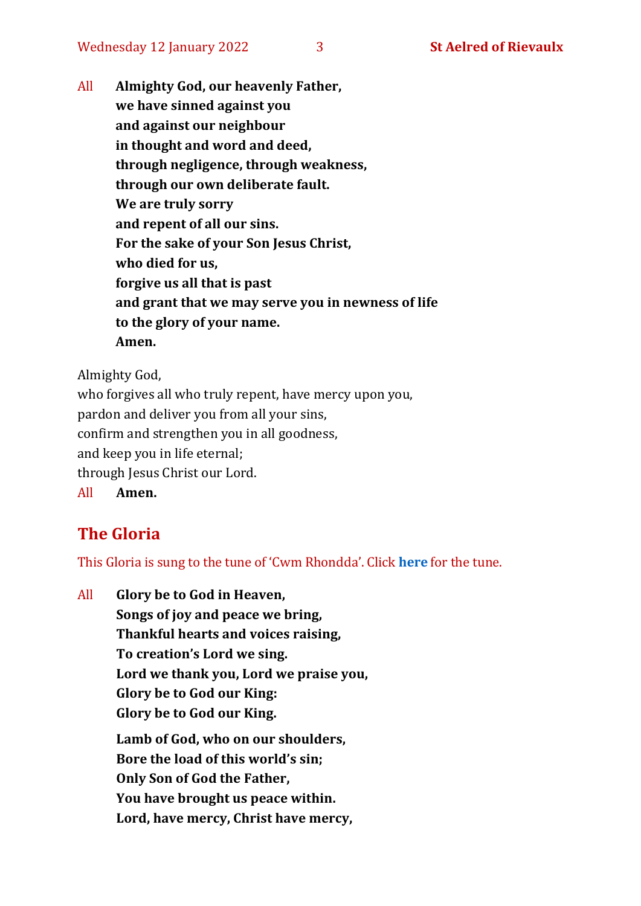All **Almighty God, our heavenly Father, we have sinned against you and against our neighbour in thought and word and deed, through negligence, through weakness, through our own deliberate fault. We are truly sorry and repent of all our sins. For the sake of your Son Jesus Christ, who died for us, forgive us all that is past and grant that we may serve you in newness of life to the glory of your name. Amen.**

Almighty God,

who forgives all who truly repent, have mercy upon you, pardon and deliver you from all your sins, confirm and strengthen you in all goodness, and keep you in life eternal; through Jesus Christ our Lord. All **Amen.**

#### **The Gloria**

This Gloria is sung to the tune of 'Cwm Rhondda'. Click **[here](https://www.youtube.com/watch?v=l71MLQ22dIk)** for the tune.

All **Glory be to God in Heaven, Songs of joy and peace we bring, Thankful hearts and voices raising, To creation's Lord we sing. Lord we thank you, Lord we praise you, Glory be to God our King: Glory be to God our King. Lamb of God, who on our shoulders, Bore the load of this world's sin; Only Son of God the Father, You have brought us peace within. Lord, have mercy, Christ have mercy,**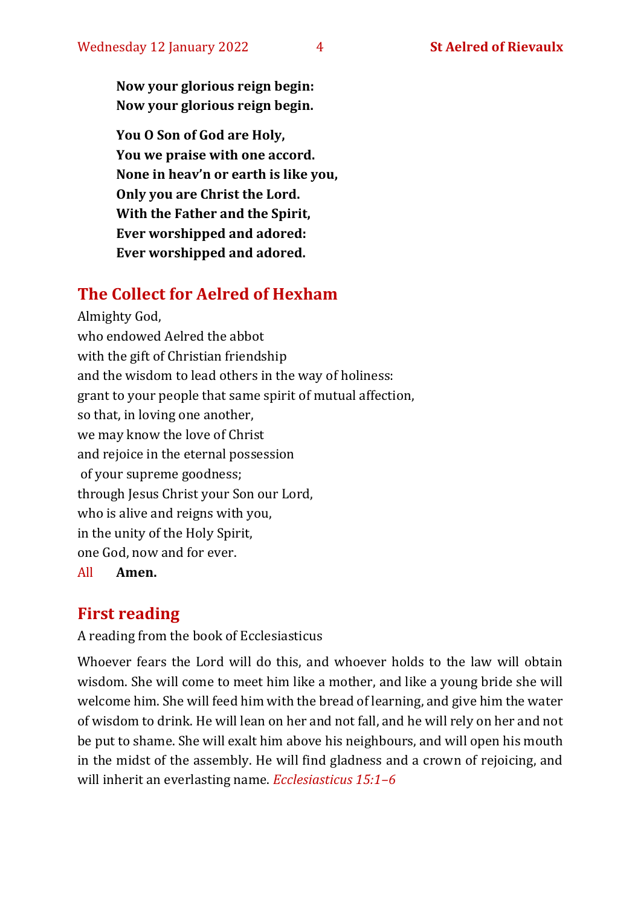**Now your glorious reign begin: Now your glorious reign begin.**

**You O Son of God are Holy, You we praise with one accord. None in heav'n or earth is like you, Only you are Christ the Lord. With the Father and the Spirit, Ever worshipped and adored: Ever worshipped and adored.**

#### **The Collect for Aelred of Hexham**

Almighty God, who endowed Aelred the abbot with the gift of Christian friendship and the wisdom to lead others in the way of holiness: grant to your people that same spirit of mutual affection, so that, in loving one another, we may know the love of Christ and rejoice in the eternal possession of your supreme goodness; through Jesus Christ your Son our Lord, who is alive and reigns with you, in the unity of the Holy Spirit, one God, now and for ever. All **Amen.**

#### **First reading**

A reading from the book of Ecclesiasticus

Whoever fears the Lord will do this, and whoever holds to the law will obtain wisdom. She will come to meet him like a mother, and like a young bride she will welcome him. She will feed him with the bread of learning, and give him the water of wisdom to drink. He will lean on her and not fall, and he will rely on her and not be put to shame. She will exalt him above his neighbours, and will open his mouth in the midst of the assembly. He will find gladness and a crown of rejoicing, and will inherit an everlasting name. *Ecclesiasticus 15:1–6*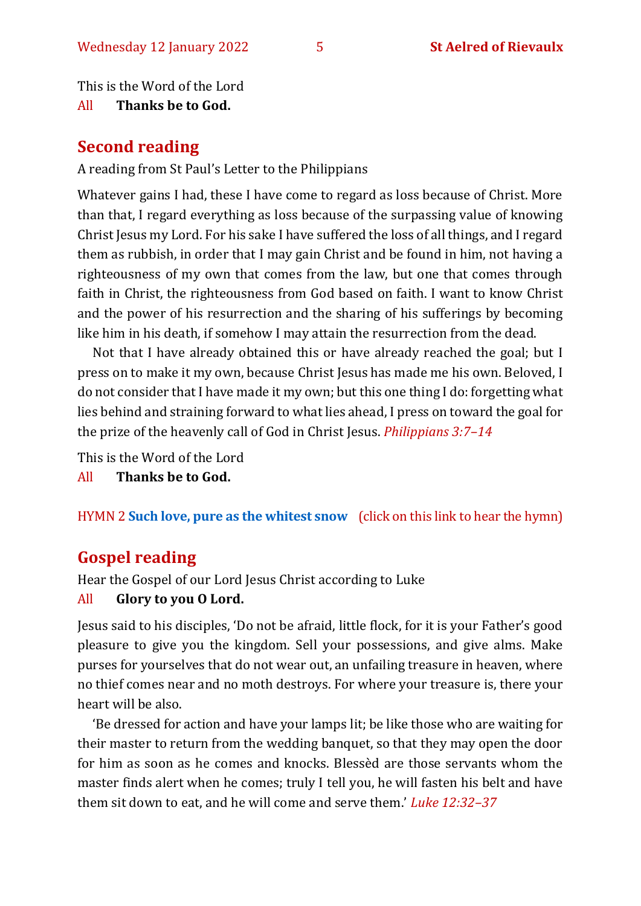This is the Word of the Lord

All **Thanks be to God.**

#### **Second reading**

A reading from St Paul's Letter to the Philippians

Whatever gains I had, these I have come to regard as loss because of Christ. More than that, I regard everything as loss because of the surpassing value of knowing Christ Jesus my Lord. For his sake I have suffered the loss of all things, and I regard them as rubbish, in order that I may gain Christ and be found in him, not having a righteousness of my own that comes from the law, but one that comes through faith in Christ, the righteousness from God based on faith. I want to know Christ and the power of his resurrection and the sharing of his sufferings by becoming like him in his death, if somehow I may attain the resurrection from the dead.

Not that I have already obtained this or have already reached the goal; but I press on to make it my own, because Christ Jesus has made me his own. Beloved, I do not consider that I have made it my own; but this one thing I do: forgetting what lies behind and straining forward to what lies ahead, I press on toward the goal for the prize of the heavenly call of God in Christ Jesus. *Philippians 3:7–14*

This is the Word of the Lord

All **Thanks be to God.**

#### HYMN 2 **[Such love, pure as the whitest snow](https://www.youtube.com/watch?v=_XRTUk5vbNY)** (click on this link to hear the hymn)

#### **Gospel reading**

Hear the Gospel of our Lord Jesus Christ according to Luke

#### All **Glory to you O Lord.**

Jesus said to his disciples, 'Do not be afraid, little flock, for it is your Father's good pleasure to give you the kingdom. Sell your possessions, and give alms. Make purses for yourselves that do not wear out, an unfailing treasure in heaven, where no thief comes near and no moth destroys. For where your treasure is, there your heart will be also.

'Be dressed for action and have your lamps lit; be like those who are waiting for their master to return from the wedding banquet, so that they may open the door for him as soon as he comes and knocks. Blessèd are those servants whom the master finds alert when he comes; truly I tell you, he will fasten his belt and have them sit down to eat, and he will come and serve them.' *Luke 12:32–37*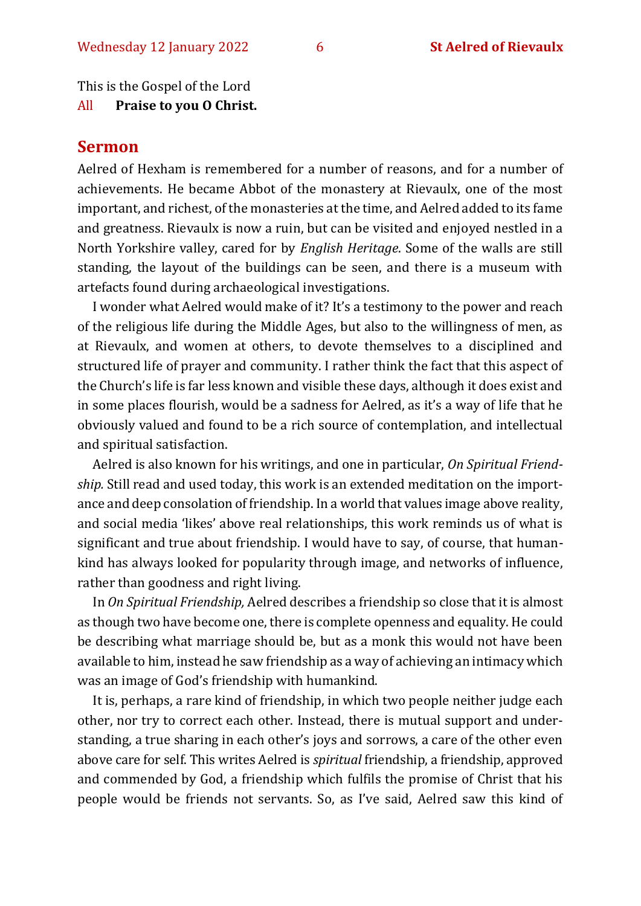This is the Gospel of the Lord

#### All **Praise to you O Christ.**

#### **Sermon**

Aelred of Hexham is remembered for a number of reasons, and for a number of achievements. He became Abbot of the monastery at Rievaulx, one of the most important, and richest, of the monasteries at the time, and Aelred added to its fame and greatness. Rievaulx is now a ruin, but can be visited and enjoyed nestled in a North Yorkshire valley, cared for by *English Heritage*. Some of the walls are still standing, the layout of the buildings can be seen, and there is a museum with artefacts found during archaeological investigations.

I wonder what Aelred would make of it? It's a testimony to the power and reach of the religious life during the Middle Ages, but also to the willingness of men, as at Rievaulx, and women at others, to devote themselves to a disciplined and structured life of prayer and community. I rather think the fact that this aspect of the Church's life is far less known and visible these days, although it does exist and in some places flourish, would be a sadness for Aelred, as it's a way of life that he obviously valued and found to be a rich source of contemplation, and intellectual and spiritual satisfaction.

Aelred is also known for his writings, and one in particular, *On Spiritual Friendship.* Still read and used today, this work is an extended meditation on the importance and deep consolation of friendship. In a world that values image above reality, and social media 'likes' above real relationships, this work reminds us of what is significant and true about friendship. I would have to say, of course, that humankind has always looked for popularity through image, and networks of influence, rather than goodness and right living.

In *On Spiritual Friendship,* Aelred describes a friendship so close that it is almost as though two have become one, there is complete openness and equality. He could be describing what marriage should be, but as a monk this would not have been available to him, instead he saw friendship as a way of achieving an intimacy which was an image of God's friendship with humankind.

It is, perhaps, a rare kind of friendship, in which two people neither judge each other, nor try to correct each other. Instead, there is mutual support and understanding, a true sharing in each other's joys and sorrows, a care of the other even above care for self. This writes Aelred is *spiritual* friendship, a friendship, approved and commended by God, a friendship which fulfils the promise of Christ that his people would be friends not servants. So, as I've said, Aelred saw this kind of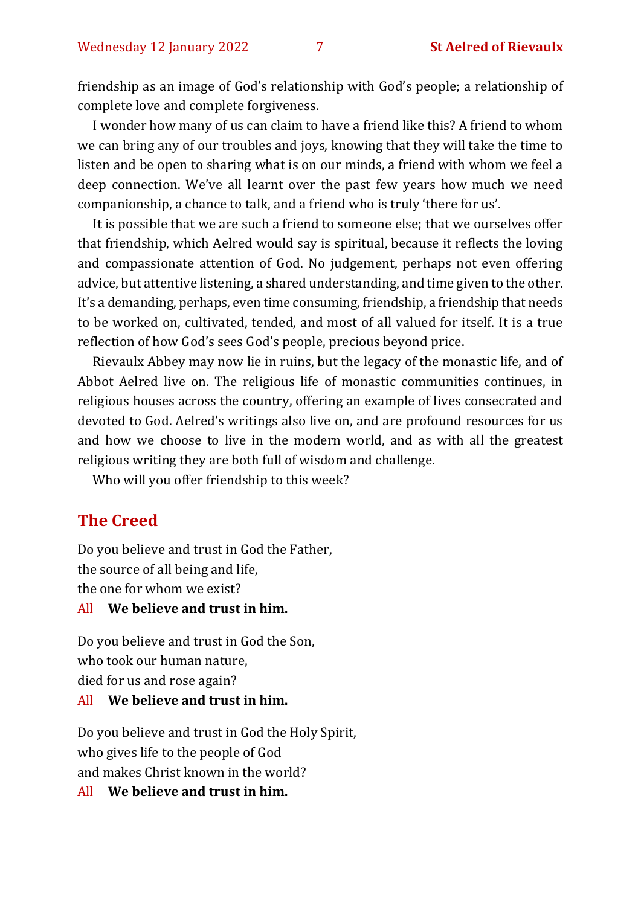friendship as an image of God's relationship with God's people; a relationship of complete love and complete forgiveness.

I wonder how many of us can claim to have a friend like this? A friend to whom we can bring any of our troubles and joys, knowing that they will take the time to listen and be open to sharing what is on our minds, a friend with whom we feel a deep connection. We've all learnt over the past few years how much we need companionship, a chance to talk, and a friend who is truly 'there for us'.

It is possible that we are such a friend to someone else; that we ourselves offer that friendship, which Aelred would say is spiritual, because it reflects the loving and compassionate attention of God. No judgement, perhaps not even offering advice, but attentive listening, a shared understanding, and time given to the other. It's a demanding, perhaps, even time consuming, friendship, a friendship that needs to be worked on, cultivated, tended, and most of all valued for itself. It is a true reflection of how God's sees God's people, precious beyond price.

Rievaulx Abbey may now lie in ruins, but the legacy of the monastic life, and of Abbot Aelred live on. The religious life of monastic communities continues, in religious houses across the country, offering an example of lives consecrated and devoted to God. Aelred's writings also live on, and are profound resources for us and how we choose to live in the modern world, and as with all the greatest religious writing they are both full of wisdom and challenge.

Who will you offer friendship to this week?

#### **The Creed**

Do you believe and trust in God the Father, the source of all being and life, the one for whom we exist?

#### All **We believe and trust in him.**

Do you believe and trust in God the Son, who took our human nature, died for us and rose again?

#### All **We believe and trust in him.**

Do you believe and trust in God the Holy Spirit, who gives life to the people of God and makes Christ known in the world? All **We believe and trust in him.**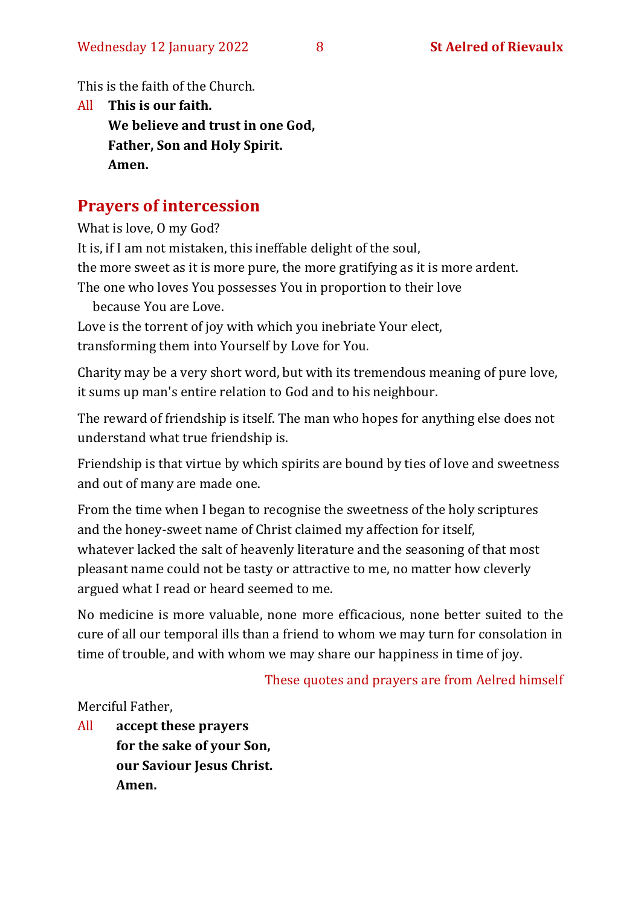This is the faith of the Church.

All **This is our faith. We believe and trust in one God, Father, Son and Holy Spirit. Amen.**

#### **Prayers of intercession**

What is love, O my God? It is, if I am not mistaken, this ineffable delight of the soul, the more sweet as it is more pure, the more gratifying as it is more ardent. The one who loves You possesses You in proportion to their love because You are Love.

Love is the torrent of joy with which you inebriate Your elect, transforming them into Yourself by Love for You*.*

Charity may be a very short word, but with its tremendous meaning of pure love, it sums up man's entire relation to God and to his neighbour.

The reward of friendship is itself. The man who hopes for anything else does not understand what true friendship is.

Friendship is that virtue by which spirits are bound by ties of love and sweetness and out of many are made one.

From the time when I began to recognise the sweetness of the holy scriptures and the honey-sweet name of Christ claimed my affection for itself, whatever lacked the salt of heavenly literature and the seasoning of that most pleasant name could not be tasty or attractive to me, no matter how cleverly argued what I read or heard seemed to me.

No medicine is more valuable, none more efficacious, none better suited to the cure of all our temporal ills than a friend to whom we may turn for consolation in time of trouble, and with whom we may share our happiness in time of joy.

These quotes and prayers are from Aelred himself

Merciful Father,

All **accept these prayers for the sake of your Son, our Saviour Jesus Christ. Amen.**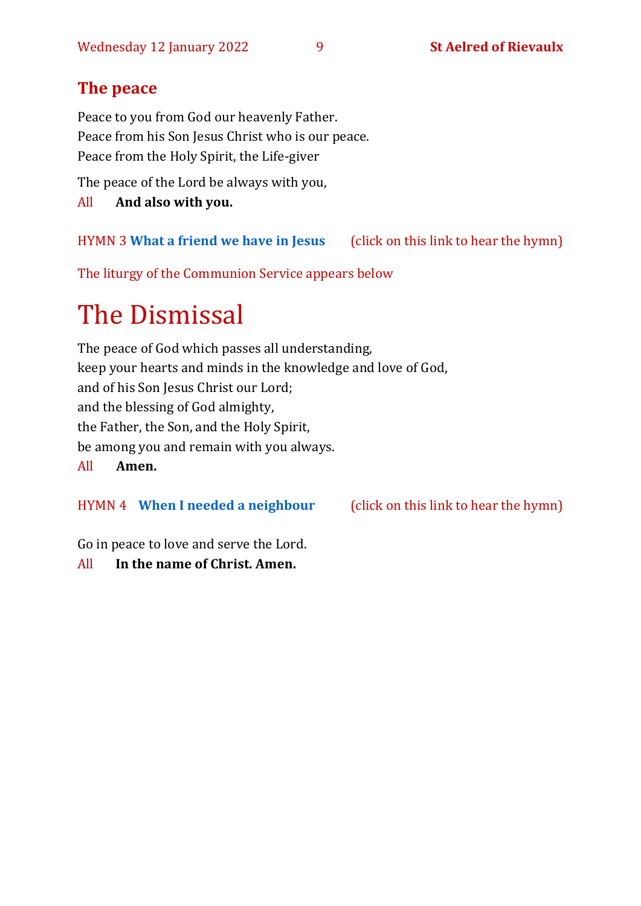#### **The peace**

Peace to you from God our heavenly Father. Peace from his Son Jesus Christ who is our peace. Peace from the Holy Spirit, the Life-giver

The peace of the Lord be always with you, All **And also with you.**

HYMN 3 **[What a friend we have in Jesus](https://www.youtube.com/watch?v=ivFVHRLZ8F8)** (click on this link to hear the hymn)

The liturgy of the Communion Service appears below

# The Dismissal

The peace of God which passes all understanding, keep your hearts and minds in the knowledge and love of God, and of his Son Jesus Christ our Lord; and the blessing of God almighty, the Father, the Son, and the Holy Spirit, be among you and remain with you always.

All **Amen.**

HYMN 4 **[When I needed a neighbour](https://www.youtube.com/watch?v=fExR7eOhJO0)** (click on this link to hear the hymn)

Go in peace to love and serve the Lord.

All **In the name of Christ. Amen.**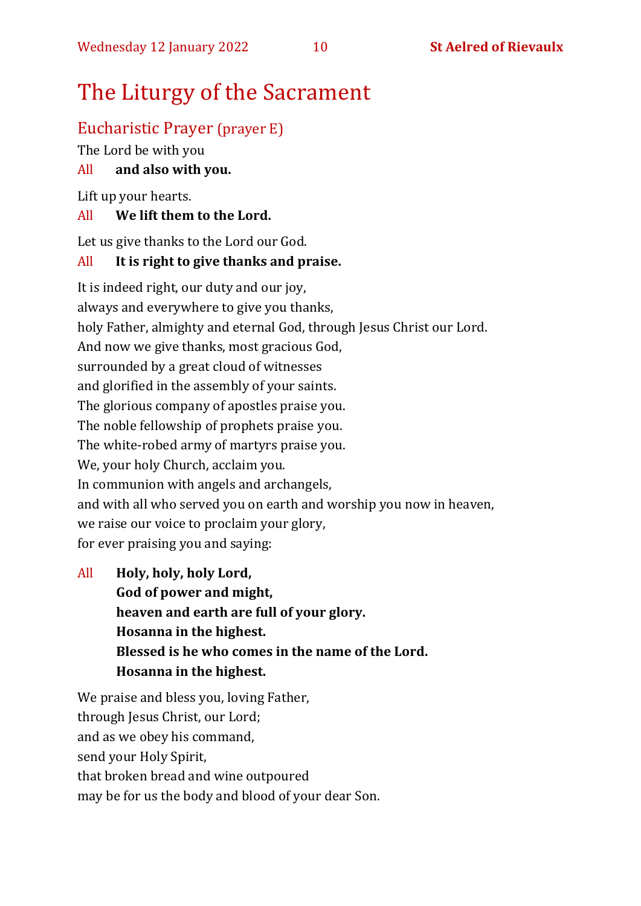## The Liturgy of the Sacrament

#### Eucharistic Prayer (prayer E)

The Lord be with you

#### All **and also with you.**

Lift up your hearts.

#### All **We lift them to the Lord.**

Let us give thanks to the Lord our God.

#### All **It is right to give thanks and praise.**

It is indeed right, our duty and our joy, always and everywhere to give you thanks, holy Father, almighty and eternal God, through Jesus Christ our Lord. And now we give thanks, most gracious God, surrounded by a great cloud of witnesses and glorified in the assembly of your saints. The glorious company of apostles praise you. The noble fellowship of prophets praise you. The white-robed army of martyrs praise you. We, your holy Church, acclaim you. In communion with angels and archangels, and with all who served you on earth and worship you now in heaven, we raise our voice to proclaim your glory, for ever praising you and saying:

All **Holy, holy, holy Lord, God of power and might, heaven and earth are full of your glory. Hosanna in the highest. Blessed is he who comes in the name of the Lord. Hosanna in the highest.**

We praise and bless you, loving Father, through Jesus Christ, our Lord; and as we obey his command, send your Holy Spirit, that broken bread and wine outpoured may be for us the body and blood of your dear Son.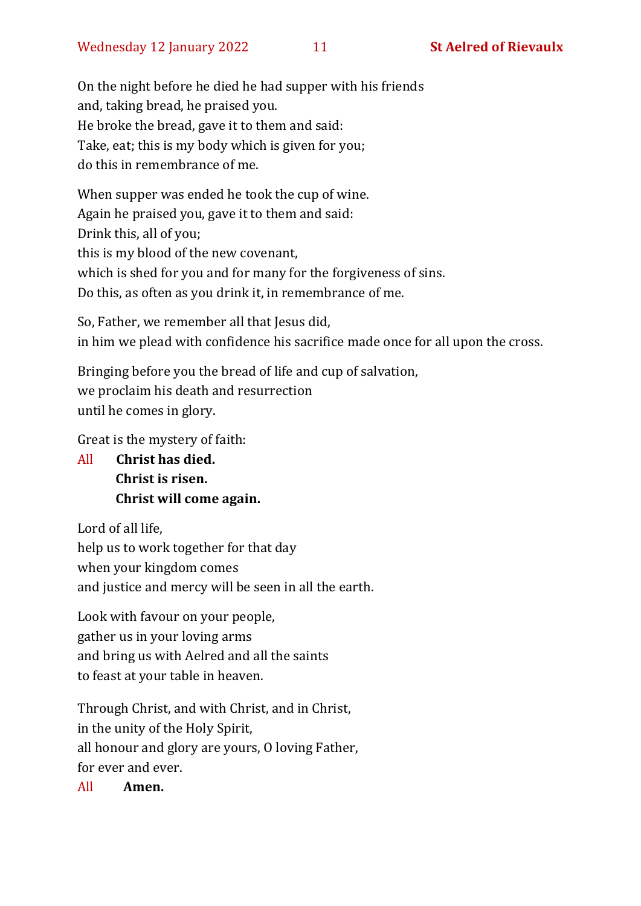On the night before he died he had supper with his friends and, taking bread, he praised you. He broke the bread, gave it to them and said: Take, eat; this is my body which is given for you; do this in remembrance of me.

When supper was ended he took the cup of wine. Again he praised you, gave it to them and said: Drink this, all of you; this is my blood of the new covenant, which is shed for you and for many for the forgiveness of sins. Do this, as often as you drink it, in remembrance of me.

So, Father, we remember all that Jesus did, in him we plead with confidence his sacrifice made once for all upon the cross.

Bringing before you the bread of life and cup of salvation, we proclaim his death and resurrection until he comes in glory.

Great is the mystery of faith:

All **Christ has died. Christ is risen. Christ will come again.**

Lord of all life, help us to work together for that day when your kingdom comes and justice and mercy will be seen in all the earth.

Look with favour on your people, gather us in your loving arms and bring us with Aelred and all the saints to feast at your table in heaven.

Through Christ, and with Christ, and in Christ, in the unity of the Holy Spirit, all honour and glory are yours, O loving Father, for ever and ever.

All **Amen.**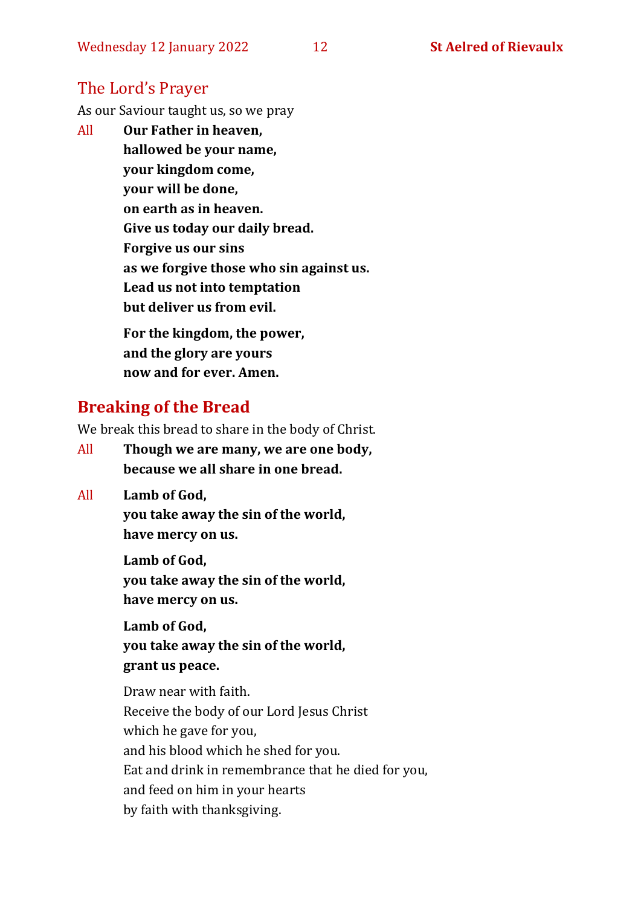#### The Lord's Prayer

As our Saviour taught us, so we pray

All **Our Father in heaven, hallowed be your name, your kingdom come, your will be done, on earth as in heaven. Give us today our daily bread. Forgive us our sins as we forgive those who sin against us. Lead us not into temptation but deliver us from evil. For the kingdom, the power,** 

**and the glory are yours now and for ever. Amen.**

#### **Breaking of the Bread**

We break this bread to share in the body of Christ.

- All **Though we are many, we are one body, because we all share in one bread.**
- All **Lamb of God,**

**you take away the sin of the world, have mercy on us.**

**Lamb of God, you take away the sin of the world, have mercy on us.**

**Lamb of God, you take away the sin of the world, grant us peace.**

Draw near with faith. Receive the body of our Lord Jesus Christ which he gave for you, and his blood which he shed for you. Eat and drink in remembrance that he died for you, and feed on him in your hearts by faith with thanksgiving.